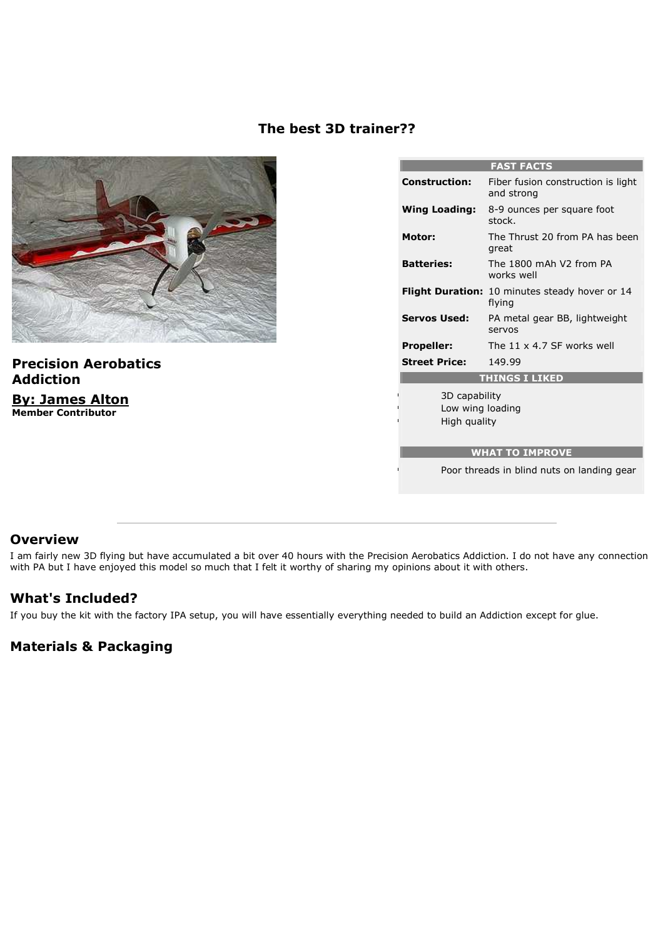### **The best 3D trainer??**



**Precision Aerobatics Addiction By: James Alton Member Contributor**

| <b>FAST FACTS</b>                                 |                                                                 |
|---------------------------------------------------|-----------------------------------------------------------------|
| <b>Construction:</b>                              | Fiber fusion construction is light<br>and strong                |
| <b>Wing Loading:</b>                              | 8-9 ounces per square foot<br>stock.                            |
| <b>Motor:</b>                                     | The Thrust 20 from PA has been<br>great                         |
| <b>Batteries:</b>                                 | The 1800 mAh V2 from PA<br>works well                           |
|                                                   | <b>Flight Duration: 10 minutes steady hover or 14</b><br>flvina |
| <b>Servos Used:</b>                               | PA metal gear BB, lightweight<br>servos                         |
| <b>Propeller:</b>                                 | The 11 $\times$ 4.7 SF works well                               |
| <b>Street Price:</b>                              | 149.99                                                          |
| <b>THINGS I LIKED</b>                             |                                                                 |
| 3D capability<br>Low wing loading<br>High quality |                                                                 |
| <b>WHAT TO IMPROVE</b>                            |                                                                 |
| Poor threads in blind nuts on landing gear        |                                                                 |

### **Overview**

I am fairly new 3D flying but have accumulated a bit over 40 hours with the Precision Aerobatics Addiction. I do not have any connection with PA but I have enjoyed this model so much that I felt it worthy of sharing my opinions about it with others.

## **What's Included?**

If you buy the kit with the factory IPA setup, you will have essentially everything needed to build an Addiction except for glue.

# **Materials & Packaging**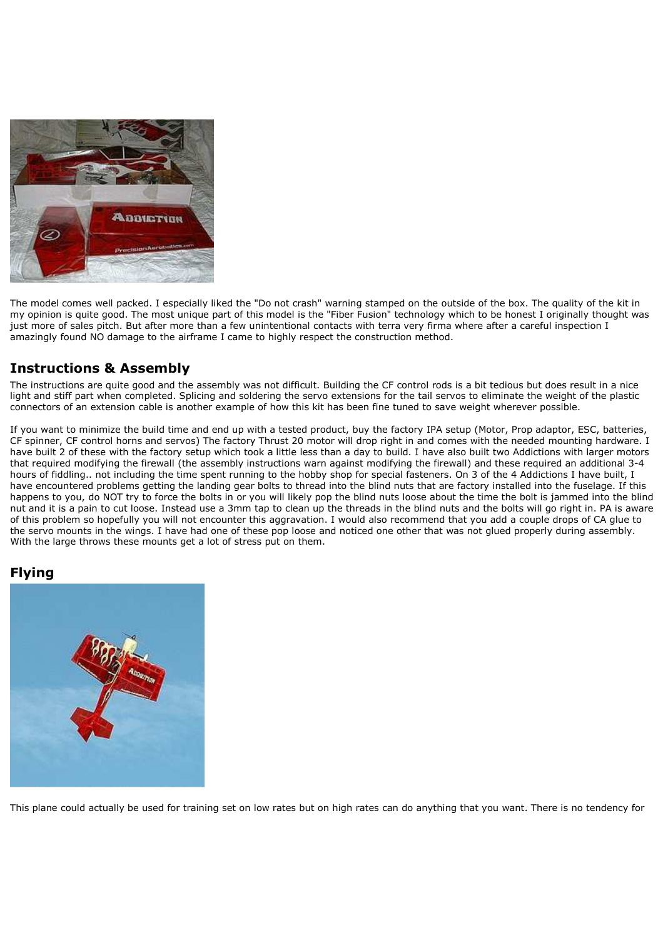

The model comes well packed. I especially liked the "Do not crash" warning stamped on the outside of the box. The quality of the kit in my opinion is quite good. The most unique part of this model is the "Fiber Fusion" technology which to be honest I originally thought was iust more of sales pitch. But after more than a few unintentional contacts with terra very firma where after a careful inspection I amazingly found NO damage to the airframe I came to highly respect the construction method.

## **Instructions & Assembly**

The instructions are quite good and the assembly was not difficult. Building the CF control rods is a bit tedious but does result in a nice light and stiff part when completed. Splicing and soldering the servo extensions for the tail servos to eliminate the weight of the plastic connectors of an extension cable is another example of how this kit has been fine tuned to save weight wherever possible.

If you want to minimize the build time and end up with a tested product, buy the factory IPA setup (Motor, Prop adaptor, ESC, batteries, CF spinner, CF control horns and servos) The factory Thrust 20 motor will drop right in and comes with the needed mounting hardware. I have built 2 of these with the factory setup which took a little less than a day to build. I have also built two Addictions with larger motors that required modifying the firewall (the assembly instructions warn against modifying the firewall) and these required an additional 3-4 hours of fiddling.. not including the time spent running to the hobby shop for special fasteners. On 3 of the 4 Addictions I have built, I have encountered problems getting the landing gear bolts to thread into the blind nuts that are factory installed into the fuselage. If this happens to you, do NOT try to force the bolts in or you will likely pop the blind nuts loose about the time the bolt is jammed into the blind nut and it is a pain to cut loose. Instead use a 3mm tap to clean up the threads in the blind nuts and the bolts will go right in. PA is aware of this problem so hopefully you will not encounter this aggravation. I would also recommend that you add a couple drops of CA glue to the servo mounts in the wings. I have had one of these pop loose and noticed one other that was not glued properly during assembly. With the large throws these mounts get a lot of stress put on them.

## **Flying**



This plane could actually be used for training set on low rates but on high rates can do anything that you want. There is no tendency for